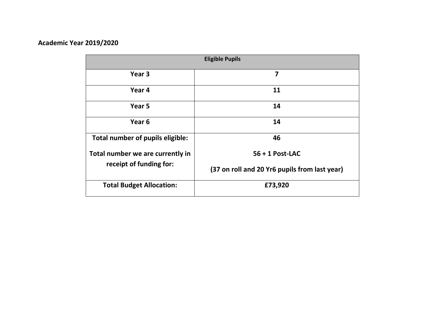## **Academic Year 2019/2020**

|                                                             | <b>Eligible Pupils</b>                        |
|-------------------------------------------------------------|-----------------------------------------------|
| Year <sub>3</sub>                                           | 7                                             |
| Year 4                                                      | 11                                            |
| Year 5                                                      | 14                                            |
| Year <sub>6</sub>                                           | 14                                            |
| Total number of pupils eligible:                            | 46                                            |
| Total number we are currently in<br>receipt of funding for: | $56 + 1$ Post-LAC                             |
|                                                             | (37 on roll and 20 Yr6 pupils from last year) |
| <b>Total Budget Allocation:</b>                             | £73,920                                       |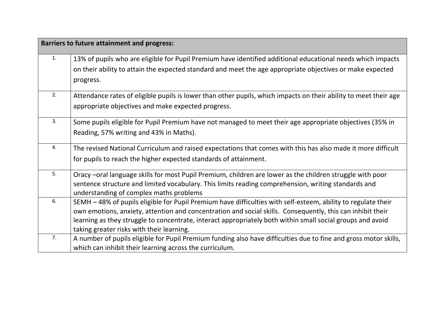| <b>Barriers to future attainment and progress:</b> |                                                                                                                  |  |
|----------------------------------------------------|------------------------------------------------------------------------------------------------------------------|--|
| 1.                                                 | 13% of pupils who are eligible for Pupil Premium have identified additional educational needs which impacts      |  |
|                                                    | on their ability to attain the expected standard and meet the age appropriate objectives or make expected        |  |
|                                                    | progress.                                                                                                        |  |
| 2.                                                 | Attendance rates of eligible pupils is lower than other pupils, which impacts on their ability to meet their age |  |
|                                                    | appropriate objectives and make expected progress.                                                               |  |
| 3.                                                 | Some pupils eligible for Pupil Premium have not managed to meet their age appropriate objectives (35% in         |  |
|                                                    | Reading, 57% writing and 43% in Maths).                                                                          |  |
| 4.                                                 | The revised National Curriculum and raised expectations that comes with this has also made it more difficult     |  |
|                                                    | for pupils to reach the higher expected standards of attainment.                                                 |  |
| 5.                                                 | Oracy -oral language skills for most Pupil Premium, children are lower as the children struggle with poor        |  |
|                                                    | sentence structure and limited vocabulary. This limits reading comprehension, writing standards and              |  |
|                                                    | understanding of complex maths problems                                                                          |  |
| 6.                                                 | SEMH - 48% of pupils eligible for Pupil Premium have difficulties with self-esteem, ability to regulate their    |  |
|                                                    | own emotions, anxiety, attention and concentration and social skills. Consequently, this can inhibit their       |  |
|                                                    | learning as they struggle to concentrate, interact appropriately both within small social groups and avoid       |  |
|                                                    | taking greater risks with their learning.                                                                        |  |
| 7.                                                 | A number of pupils eligible for Pupil Premium funding also have difficulties due to fine and gross motor skills, |  |
|                                                    | which can inhibit their learning across the curriculum.                                                          |  |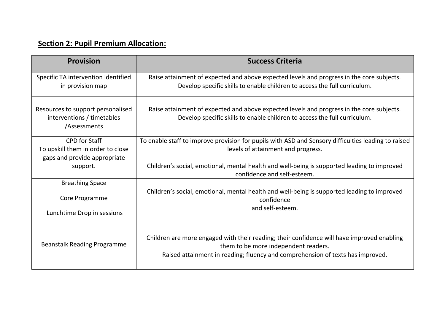## **Section 2: Pupil Premium Allocation:**

| <b>Provision</b>                                                                | <b>Success Criteria</b>                                                                                                                                                                                              |
|---------------------------------------------------------------------------------|----------------------------------------------------------------------------------------------------------------------------------------------------------------------------------------------------------------------|
| Specific TA intervention identified                                             | Raise attainment of expected and above expected levels and progress in the core subjects.                                                                                                                            |
| in provision map                                                                | Develop specific skills to enable children to access the full curriculum.                                                                                                                                            |
| Resources to support personalised<br>interventions / timetables<br>/Assessments | Raise attainment of expected and above expected levels and progress in the core subjects.<br>Develop specific skills to enable children to access the full curriculum.                                               |
| <b>CPD</b> for Staff                                                            | To enable staff to improve provision for pupils with ASD and Sensory difficulties leading to raised                                                                                                                  |
| To upskill them in order to close                                               | levels of attainment and progress.                                                                                                                                                                                   |
| gaps and provide appropriate                                                    | Children's social, emotional, mental health and well-being is supported leading to improved                                                                                                                          |
| support.                                                                        | confidence and self-esteem.                                                                                                                                                                                          |
| <b>Breathing Space</b>                                                          | Children's social, emotional, mental health and well-being is supported leading to improved                                                                                                                          |
| Core Programme                                                                  | confidence                                                                                                                                                                                                           |
| Lunchtime Drop in sessions                                                      | and self-esteem.                                                                                                                                                                                                     |
| <b>Beanstalk Reading Programme</b>                                              | Children are more engaged with their reading; their confidence will have improved enabling<br>them to be more independent readers.<br>Raised attainment in reading; fluency and comprehension of texts has improved. |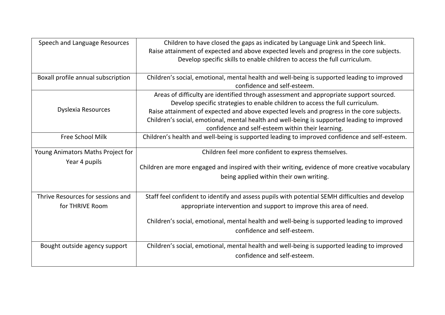| Speech and Language Resources      | Children to have closed the gaps as indicated by Language Link and Speech link.                 |
|------------------------------------|-------------------------------------------------------------------------------------------------|
|                                    | Raise attainment of expected and above expected levels and progress in the core subjects.       |
|                                    | Develop specific skills to enable children to access the full curriculum.                       |
|                                    |                                                                                                 |
| Boxall profile annual subscription | Children's social, emotional, mental health and well-being is supported leading to improved     |
|                                    | confidence and self-esteem.                                                                     |
|                                    | Areas of difficulty are identified through assessment and appropriate support sourced.          |
|                                    | Develop specific strategies to enable children to access the full curriculum.                   |
| Dyslexia Resources                 | Raise attainment of expected and above expected levels and progress in the core subjects.       |
|                                    | Children's social, emotional, mental health and well-being is supported leading to improved     |
|                                    | confidence and self-esteem within their learning.                                               |
| <b>Free School Milk</b>            | Children's health and well-being is supported leading to improved confidence and self-esteem.   |
|                                    |                                                                                                 |
| Young Animators Maths Project for  | Children feel more confident to express themselves.                                             |
| Year 4 pupils                      | Children are more engaged and inspired with their writing, evidence of more creative vocabulary |
|                                    | being applied within their own writing.                                                         |
|                                    |                                                                                                 |
|                                    |                                                                                                 |
| Thrive Resources for sessions and  | Staff feel confident to identify and assess pupils with potential SEMH difficulties and develop |
| for THRIVE Room                    | appropriate intervention and support to improve this area of need.                              |
|                                    | Children's social, emotional, mental health and well-being is supported leading to improved     |
|                                    |                                                                                                 |
|                                    | confidence and self-esteem.                                                                     |
| Bought outside agency support      | Children's social, emotional, mental health and well-being is supported leading to improved     |
|                                    | confidence and self-esteem.                                                                     |
|                                    |                                                                                                 |